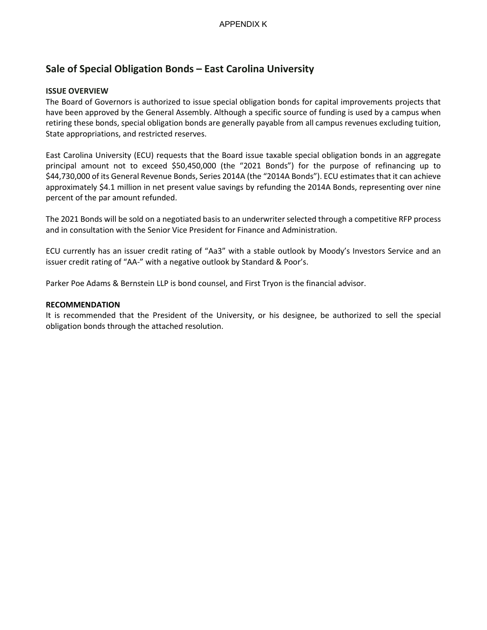# **Sale of Special Obligation Bonds – East Carolina University**

## **ISSUE OVERVIEW**

The Board of Governors is authorized to issue special obligation bonds for capital improvements projects that have been approved by the General Assembly. Although a specific source of funding is used by a campus when retiring these bonds, special obligation bonds are generally payable from all campus revenues excluding tuition, State appropriations, and restricted reserves.

East Carolina University (ECU) requests that the Board issue taxable special obligation bonds in an aggregate principal amount not to exceed \$50,450,000 (the "2021 Bonds") for the purpose of refinancing up to \$44,730,000 of its General Revenue Bonds, Series 2014A (the "2014A Bonds"). ECU estimates that it can achieve approximately \$4.1 million in net present value savings by refunding the 2014A Bonds, representing over nine percent of the par amount refunded.

The 2021 Bonds will be sold on a negotiated basis to an underwriter selected through a competitive RFP process and in consultation with the Senior Vice President for Finance and Administration.

ECU currently has an issuer credit rating of "Aa3" with a stable outlook by Moody's Investors Service and an issuer credit rating of "AA-" with a negative outlook by Standard & Poor's.

Parker Poe Adams & Bernstein LLP is bond counsel, and First Tryon is the financial advisor.

#### **RECOMMENDATION**

It is recommended that the President of the University, or his designee, be authorized to sell the special obligation bonds through the attached resolution.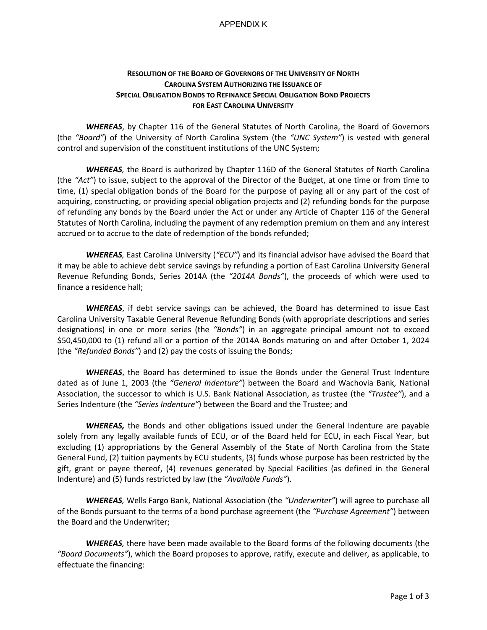#### APPENDIX K

## **RESOLUTION OF THE BOARD OF GOVERNORS OF THE UNIVERSITY OF NORTH CAROLINA SYSTEM AUTHORIZING THE ISSUANCE OF SPECIAL OBLIGATION BONDS TO REFINANCE SPECIAL OBLIGATION BOND PROJECTS FOR EAST CAROLINA UNIVERSITY**

*WHEREAS*, by Chapter 116 of the General Statutes of North Carolina, the Board of Governors (the *"Board"*) of the University of North Carolina System (the *"UNC System"*) is vested with general control and supervision of the constituent institutions of the UNC System;

*WHEREAS,* the Board is authorized by Chapter 116D of the General Statutes of North Carolina (the *"Act"*) to issue, subject to the approval of the Director of the Budget, at one time or from time to time, (1) special obligation bonds of the Board for the purpose of paying all or any part of the cost of acquiring, constructing, or providing special obligation projects and (2) refunding bonds for the purpose of refunding any bonds by the Board under the Act or under any Article of Chapter 116 of the General Statutes of North Carolina, including the payment of any redemption premium on them and any interest accrued or to accrue to the date of redemption of the bonds refunded;

*WHEREAS,* East Carolina University (*"ECU"*) and its financial advisor have advised the Board that it may be able to achieve debt service savings by refunding a portion of East Carolina University General Revenue Refunding Bonds, Series 2014A (the *"2014A Bonds"*), the proceeds of which were used to finance a residence hall;

*WHEREAS*, if debt service savings can be achieved, the Board has determined to issue East Carolina University Taxable General Revenue Refunding Bonds (with appropriate descriptions and series designations) in one or more series (the *"Bonds"*) in an aggregate principal amount not to exceed \$50,450,000 to (1) refund all or a portion of the 2014A Bonds maturing on and after October 1, 2024 (the *"Refunded Bonds"*) and (2) pay the costs of issuing the Bonds;

*WHEREAS*, the Board has determined to issue the Bonds under the General Trust Indenture dated as of June 1, 2003 (the *"General Indenture"*) between the Board and Wachovia Bank, National Association, the successor to which is U.S. Bank National Association, as trustee (the *"Trustee"*), and a Series Indenture (the *"Series Indenture"*) between the Board and the Trustee; and

*WHEREAS,* the Bonds and other obligations issued under the General Indenture are payable solely from any legally available funds of ECU, or of the Board held for ECU, in each Fiscal Year, but excluding (1) appropriations by the General Assembly of the State of North Carolina from the State General Fund, (2) tuition payments by ECU students, (3) funds whose purpose has been restricted by the gift, grant or payee thereof, (4) revenues generated by Special Facilities (as defined in the General Indenture) and (5) funds restricted by law (the *"Available Funds"*).

*WHEREAS,* Wells Fargo Bank, National Association (the *"Underwriter"*) will agree to purchase all of the Bonds pursuant to the terms of a bond purchase agreement (the *"Purchase Agreement"*) between the Board and the Underwriter;

*WHEREAS,* there have been made available to the Board forms of the following documents (the *"Board Documents"*), which the Board proposes to approve, ratify, execute and deliver, as applicable, to effectuate the financing: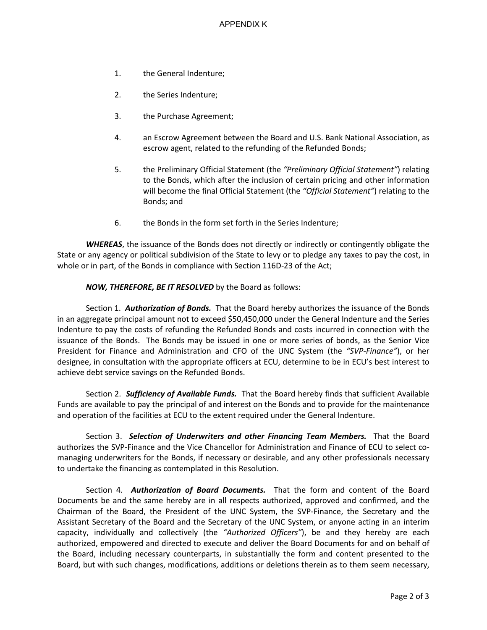- 1. the General Indenture;
- 2. the Series Indenture;
- 3. the Purchase Agreement;
- 4. an Escrow Agreement between the Board and U.S. Bank National Association, as escrow agent, related to the refunding of the Refunded Bonds;
- 5. the Preliminary Official Statement (the *"Preliminary Official Statement"*) relating to the Bonds, which after the inclusion of certain pricing and other information will become the final Official Statement (the *"Official Statement"*) relating to the Bonds; and
- 6. the Bonds in the form set forth in the Series Indenture;

*WHEREAS*, the issuance of the Bonds does not directly or indirectly or contingently obligate the State or any agency or political subdivision of the State to levy or to pledge any taxes to pay the cost, in whole or in part, of the Bonds in compliance with Section 116D-23 of the Act;

### *NOW, THEREFORE, BE IT RESOLVED* by the Board as follows:

Section 1. *Authorization of Bonds.* That the Board hereby authorizes the issuance of the Bonds in an aggregate principal amount not to exceed \$50,450,000 under the General Indenture and the Series Indenture to pay the costs of refunding the Refunded Bonds and costs incurred in connection with the issuance of the Bonds. The Bonds may be issued in one or more series of bonds, as the Senior Vice President for Finance and Administration and CFO of the UNC System (the *"SVP-Finance"*), or her designee, in consultation with the appropriate officers at ECU, determine to be in ECU's best interest to achieve debt service savings on the Refunded Bonds.

Section 2. *Sufficiency of Available Funds.* That the Board hereby finds that sufficient Available Funds are available to pay the principal of and interest on the Bonds and to provide for the maintenance and operation of the facilities at ECU to the extent required under the General Indenture.

Section 3. *Selection of Underwriters and other Financing Team Members.* That the Board authorizes the SVP-Finance and the Vice Chancellor for Administration and Finance of ECU to select comanaging underwriters for the Bonds, if necessary or desirable, and any other professionals necessary to undertake the financing as contemplated in this Resolution.

Section 4. *Authorization of Board Documents.* That the form and content of the Board Documents be and the same hereby are in all respects authorized, approved and confirmed, and the Chairman of the Board, the President of the UNC System, the SVP-Finance, the Secretary and the Assistant Secretary of the Board and the Secretary of the UNC System, or anyone acting in an interim capacity, individually and collectively (the *"Authorized Officers"*), be and they hereby are each authorized, empowered and directed to execute and deliver the Board Documents for and on behalf of the Board, including necessary counterparts, in substantially the form and content presented to the Board, but with such changes, modifications, additions or deletions therein as to them seem necessary,